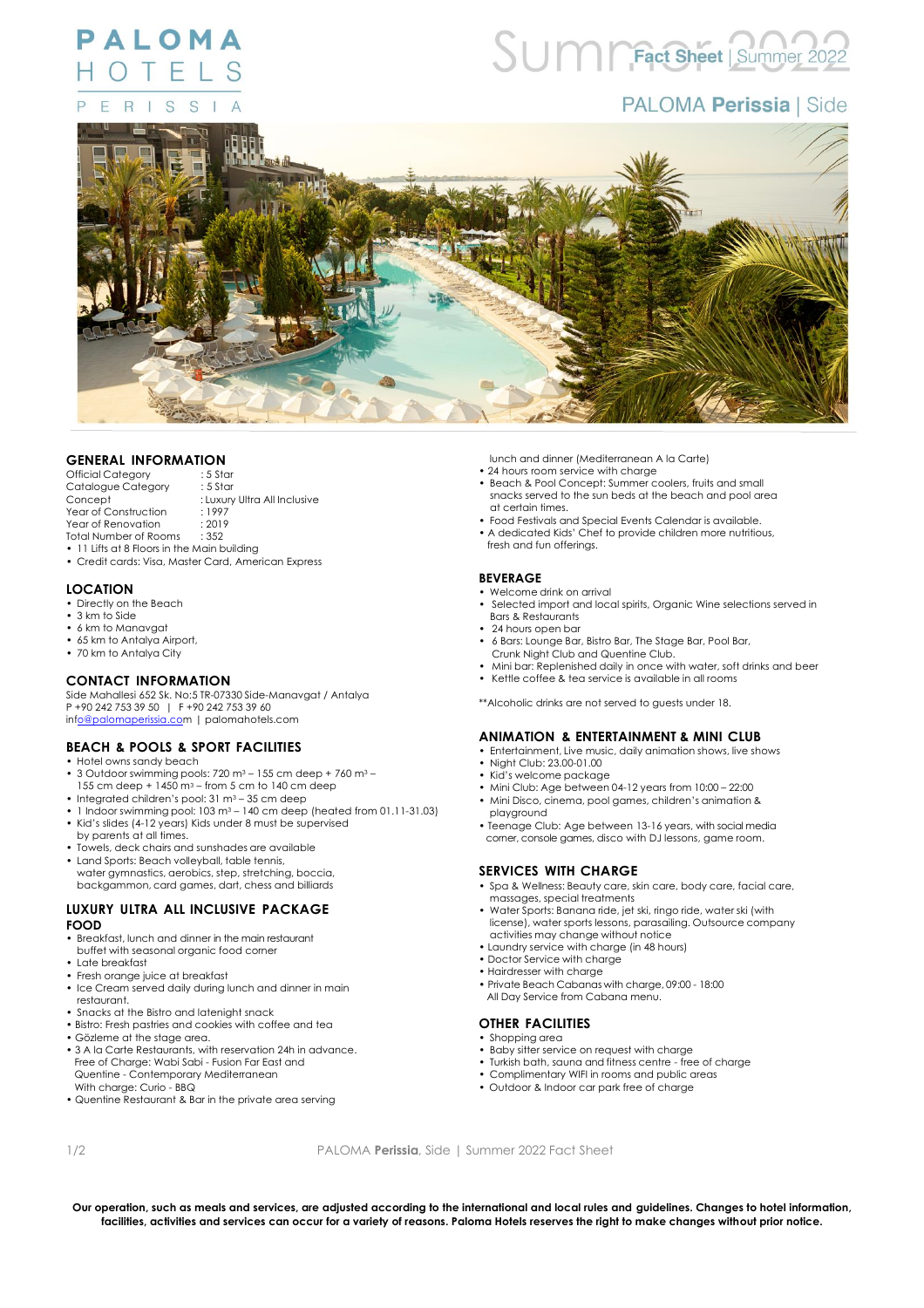#### PALOMA HOTEL R  $\mathbf{I}$ S S F

# UM CFact Sheet Summer

# **PALOMA Perissia | Side**



# **GENERAL INFORMATION**

- Official Category : 5 Star<br>Catalogue Category : 5 Star Catalogue Category<br>Concept : Luxury Ultra All Inclusive Year of Construction : 1997<br>Year of Renovation : 2019 Year of Renovation : 2011<br>Total Number of Rooms : 352 Total Number of Rooms
- 11 Lifts at 8 Floors in the Main building
- Credit cards: Visa, Master Card, American Express

#### **LOCATION**

- Directly on the Beach
- 3 km to Side
- 6 km to Manavgat • 65 km to Antalya Airport,
- 70 km to Antalya City

#### **CONTACT INFORMATION**

Side Mahallesi 652 Sk. No:5 TR-07330 Side-Manavgat / Antalya P +90 242 753 39 50 | F +90 242 753 39 60 in[fo@palomaperissia.com](mailto:o@palomaperissia.co) | palomahotels.com

### **BEACH & POOLS & SPORT FACILITIES**

- Hotel owns sandy beach
- 3 Outdoor swimming pools: 720 m<sup>3</sup> 155 cm deep + 760 m<sup>3</sup> 155 cm deep + 1450 m<sup>3</sup> from 5 cm to 140 cm deep
- Integrated children's pool: 31 m<sup>3</sup> 35 cm deep
- 1 Indoor swimming pool: 103 m<sup>3</sup> 140 cm deep (heated from 01.11-31.03) • Kid's slides (4-12 years) Kids under 8 must be supervised
- by parents at all times. • Towels, deck chairs and sunshades are available
- Land Sports: Beach volleyball, table tennis,
- water gymnastics, aerobics, step, stretching, boccia, backgammon, card games, dart, chess and billiards

#### **LUXURY ULTRA ALL INCLUSIVE PACKAGE FOOD**

- Breakfast, lunch and dinner in the main restaurant buffet with seasonal organic food corner
- Late breakfast
- Fresh orange juice at breakfast
- Ice Cream served daily during lunch and dinner in main restaurant.
- Snacks at the Bistro and latenight snack
- Bistro: Fresh pastries and cookies with coffee and tea
- Gözleme at the stage area.
- 3 A la Carte Restaurants, with reservation 24h in advance. Free of Charge: Wabi Sabi - Fusion Far East and Quentine - Contemporary Mediterranean With charge: Curio - BBQ
- Quentine Restaurant & Bar in the private area serving

lunch and dinner (Mediterranean A la Carte)

- 24 hours room service with charge
- Beach & Pool Concept: Summer coolers, fruits and small snacks served to the sun beds at the beach and pool area at certain times.
- Food Festivals and Special Events Calendar is available.
- A dedicated Kids' Chef to provide children more nutritious,
- fresh and fun offerings.

#### **BEVERAGE**

- Welcome drink on arrival
- Selected import and local spirits, Organic Wine selections served in Bars & Restaurants
- 24 hours open bar
- 6 Bars: Lounge Bar, Bistro Bar, The Stage Bar, Pool Bar,
- Crunk Night Club and Quentine Club.
- Mini bar: Replenished daily in once with water, soft drinks and beer • Kettle coffee & tea service is available in all rooms
- \*\*Alcoholic drinks are not served to guests under 18.

## **ANIMATION & ENTERTAINMENT & MINI CLUB**

- Entertainment, Live music, daily animation shows, live shows
- Night Club: 23.00-01.00
- Kid's welcome package
- Mini Club: Age between 04-12 years from 10:00 22:00
- Mini Disco, cinema, pool games, children's animation & playground
- Teenage Club: Age between 13-16 years, with social media corner, console games, disco with DJ lessons, game room.

#### **SERVICES WITH CHARGE**

- Spa & Wellness: Beauty care, skin care, body care, facial care, massages, special treatments
- Water Sports: Banana ride, jet ski, ringo ride, water ski (with license), water sports lessons, parasailing. Outsource company activities may change without notice • Laundry service with charge (in 48 hours)
- 
- Doctor Service with charge
- Hairdresser with charge
- Private Beach Cabanas with charge, 09:00 18:00 All Day Service from Cabana menu.

## **OTHER FACILITIES**

- Shopping area
- Baby sitter service on request with charge
- Turkish bath, sauna and fitness centre free of charge
- Complimentary WIFI in rooms and public areas
- Outdoor & Indoor car park free of charge

1/2 PALOMA **Perissia**, Side | Summer 2022 Fact Sheet

**Our operation, such as meals and services, are adjusted according to the international and local rules and guidelines. Changes to hotel information, facilities, activities and services can occur for a variety of reasons. Paloma Hotels reserves the right to make changes without prior notice.**